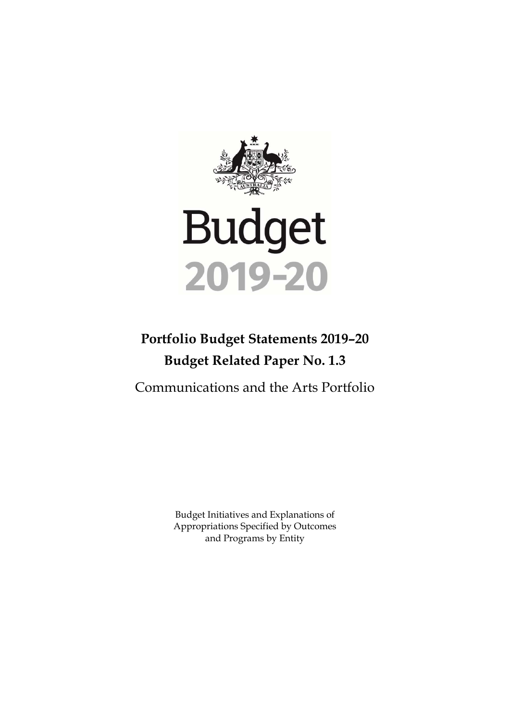

# **Portfolio Budget Statements 2019–20 Budget Related Paper No. 1.3**

Communications and the Arts Portfolio

Budget Initiatives and Explanations of Appropriations Specified by Outcomes and Programs by Entity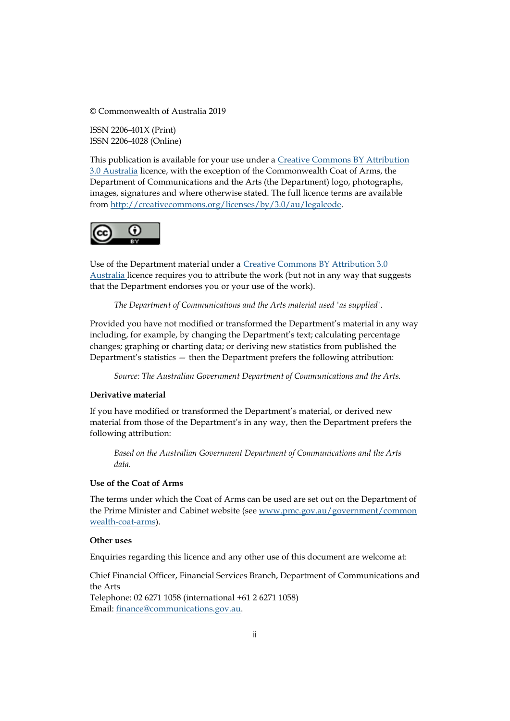© Commonwealth of Australia 2019

ISSN 2206-401X (Print) ISSN 2206-4028 (Online)

This publication is available for your use under a [Creative Commons BY Attribution](http://creativecommons.org/licenses/by/3.0/au/deed.en)  [3.0 Australia](http://creativecommons.org/licenses/by/3.0/au/deed.en) licence, with the exception of the Commonwealth Coat of Arms, the Department of Communications and the Arts (the Department) logo, photographs, images, signatures and where otherwise stated. The full licence terms are available from [http://creativecommons.org/licenses/by/3.0/au/legalcode.](http://creativecommons.org/licenses/by/3.0/au/legalcode)



Use of the Department material under a [Creative Commons BY Attribution 3.0](http://creativecommons.org/licenses/by/3.0/au/deed.en)  [Australia](http://creativecommons.org/licenses/by/3.0/au/deed.en) licence requires you to attribute the work (but not in any way that suggests that the Department endorses you or your use of the work).

*The Department of Communications and the Arts material used 'as supplied'.* 

Provided you have not modified or transformed the Department's material in any way including, for example, by changing the Department's text; calculating percentage changes; graphing or charting data; or deriving new statistics from published the Department's statistics — then the Department prefers the following attribution:

*Source: The Australian Government Department of Communications and the Arts.*

#### **Derivative material**

If you have modified or transformed the Department's material, or derived new material from those of the Department's in any way, then the Department prefers the following attribution:

*Based on the Australian Government Department of Communications and the Arts data.*

#### **Use of the Coat of Arms**

The terms under which the Coat of Arms can be used are set out on the Department of the Prime Minister and Cabinet website (see [www.pmc.gov.au/government/common](http://www.pmc.gov.au/government/common%20wealth-coat-arms)  [wealth-coat-arms\)](http://www.pmc.gov.au/government/common%20wealth-coat-arms).

#### **Other uses**

Enquiries regarding this licence and any other use of this document are welcome at:

Chief Financial Officer, Financial Services Branch, Department of Communications and the Arts Telephone: 02 6271 1058 (international +61 2 6271 1058) Email[: finance@communications.gov.au.](mailto:finance@communications.gov.au)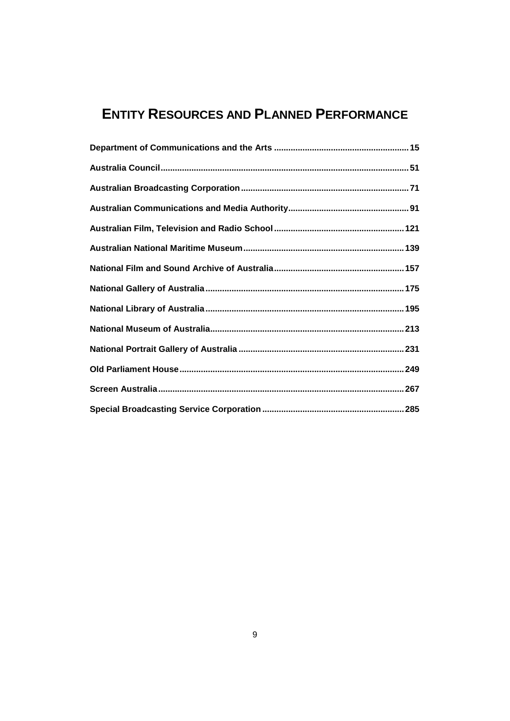# **ENTITY RESOURCES AND PLANNED PERFORMANCE**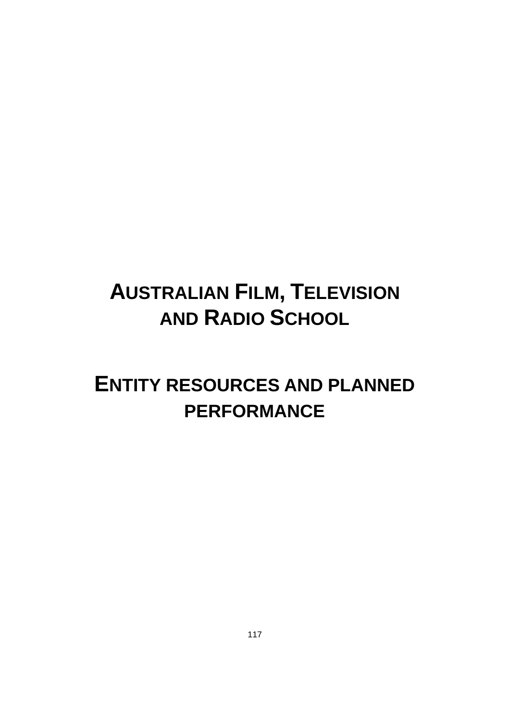# **AUSTRALIAN FILM, TELEVISION AND RADIO SCHOOL**

# **ENTITY RESOURCES AND PLANNED PERFORMANCE**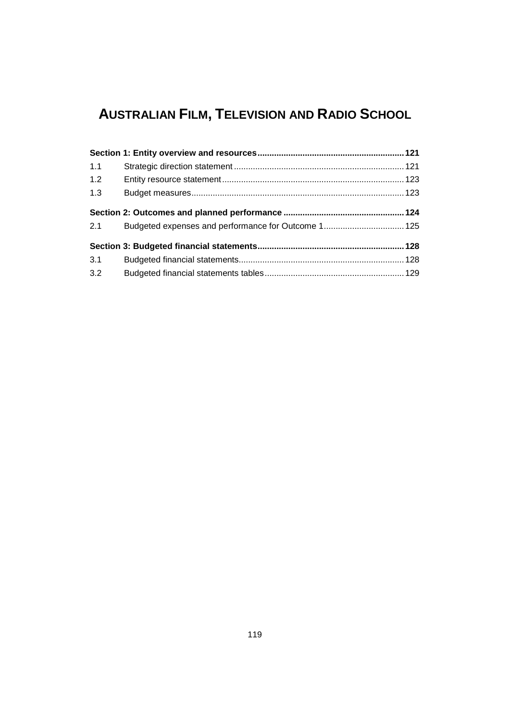# **AUSTRALIAN FILM, TELEVISION AND RADIO SCHOOL**

| 1.1 |  |
|-----|--|
| 1.2 |  |
| 1.3 |  |
|     |  |
| 2.1 |  |
|     |  |
| 3.1 |  |
| 3.2 |  |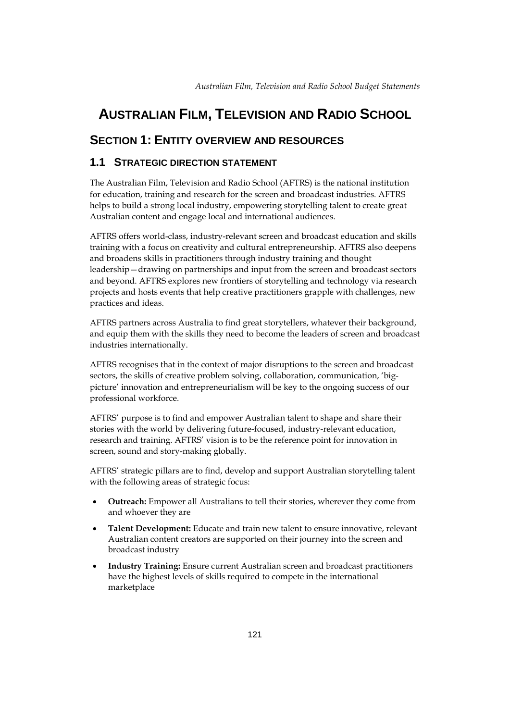# <span id="page-8-0"></span>**AUSTRALIAN FILM, TELEVISION AND RADIO SCHOOL**

# <span id="page-8-1"></span>**SECTION 1: ENTITY OVERVIEW AND RESOURCES**

### <span id="page-8-2"></span>**1.1 STRATEGIC DIRECTION STATEMENT**

The Australian Film, Television and Radio School (AFTRS) is the national institution for education, training and research for the screen and broadcast industries. AFTRS helps to build a strong local industry, empowering storytelling talent to create great Australian content and engage local and international audiences.

AFTRS offers world-class, industry-relevant screen and broadcast education and skills training with a focus on creativity and cultural entrepreneurship. AFTRS also deepens and broadens skills in practitioners through industry training and thought leadership—drawing on partnerships and input from the screen and broadcast sectors and beyond. AFTRS explores new frontiers of storytelling and technology via research projects and hosts events that help creative practitioners grapple with challenges, new practices and ideas.

AFTRS partners across Australia to find great storytellers, whatever their background, and equip them with the skills they need to become the leaders of screen and broadcast industries internationally.

AFTRS recognises that in the context of major disruptions to the screen and broadcast sectors, the skills of creative problem solving, collaboration, communication, 'bigpicture' innovation and entrepreneurialism will be key to the ongoing success of our professional workforce.

AFTRS' purpose is to find and empower Australian talent to shape and share their stories with the world by delivering future-focused, industry-relevant education, research and training. AFTRS' vision is to be the reference point for innovation in screen, sound and story-making globally.

AFTRS' strategic pillars are to find, develop and support Australian storytelling talent with the following areas of strategic focus:

- **Outreach:** Empower all Australians to tell their stories, wherever they come from and whoever they are
- **Talent Development:** Educate and train new talent to ensure innovative, relevant Australian content creators are supported on their journey into the screen and broadcast industry
- **Industry Training:** Ensure current Australian screen and broadcast practitioners have the highest levels of skills required to compete in the international marketplace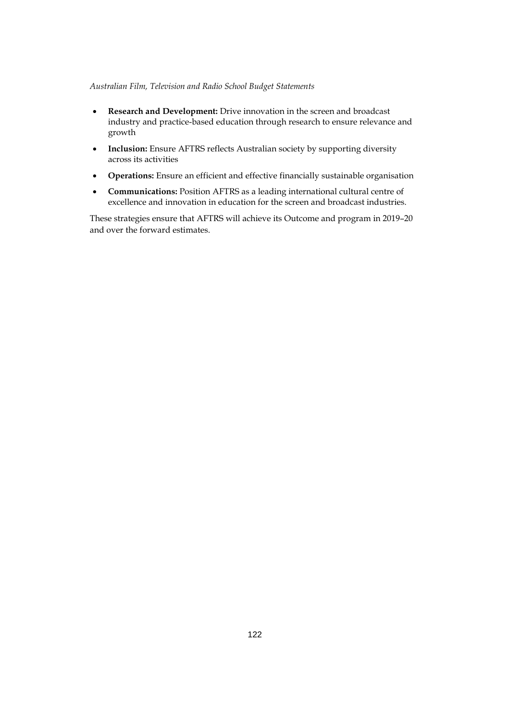- **Research and Development:** Drive innovation in the screen and broadcast industry and practice-based education through research to ensure relevance and growth
- **Inclusion:** Ensure AFTRS reflects Australian society by supporting diversity across its activities
- **Operations:** Ensure an efficient and effective financially sustainable organisation
- **Communications:** Position AFTRS as a leading international cultural centre of excellence and innovation in education for the screen and broadcast industries.

These strategies ensure that AFTRS will achieve its Outcome and program in 2019–20 and over the forward estimates.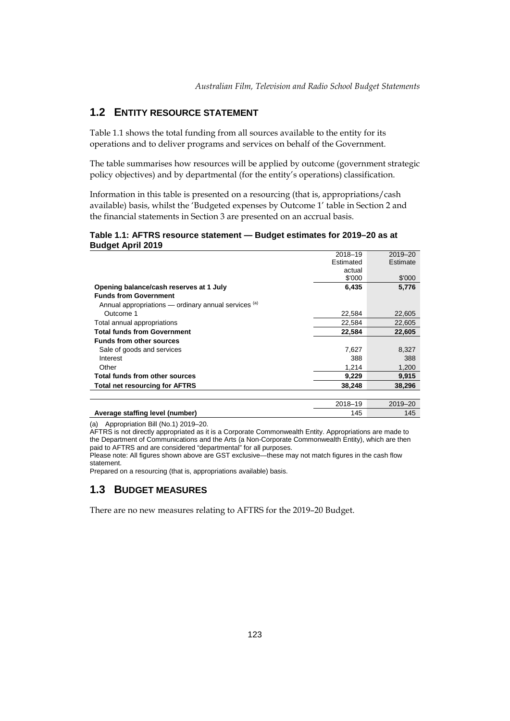## <span id="page-10-0"></span>**1.2 ENTITY RESOURCE STATEMENT**

Table 1.1 shows the total funding from all sources available to the entity for its operations and to deliver programs and services on behalf of the Government.

The table summarises how resources will be applied by outcome (government strategic policy objectives) and by departmental (for the entity's operations) classification.

Information in this table is presented on a resourcing (that is, appropriations/cash available) basis, whilst the 'Budgeted expenses by Outcome 1' table in Section 2 and the financial statements in Section 3 are presented on an accrual basis.

#### **Table 1.1: AFTRS resource statement — Budget estimates for 2019–20 as at Budget April 2019**

|                                                      | 2018-19   | 2019-20  |
|------------------------------------------------------|-----------|----------|
|                                                      | Estimated | Estimate |
|                                                      | actual    |          |
|                                                      | \$'000    | \$'000   |
| Opening balance/cash reserves at 1 July              | 6,435     | 5,776    |
| <b>Funds from Government</b>                         |           |          |
| Annual appropriations - ordinary annual services (a) |           |          |
| Outcome 1                                            | 22,584    | 22,605   |
| Total annual appropriations                          | 22.584    | 22,605   |
| <b>Total funds from Government</b>                   | 22,584    | 22,605   |
| <b>Funds from other sources</b>                      |           |          |
| Sale of goods and services                           | 7,627     | 8,327    |
| Interest                                             | 388       | 388      |
| Other                                                | 1,214     | 1,200    |
| Total funds from other sources                       | 9,229     | 9,915    |
| <b>Total net resourcing for AFTRS</b>                | 38,248    | 38,296   |
|                                                      |           |          |

|                                 | $2018 -$ | $2019-$ |
|---------------------------------|----------|---------|
| Average staffing level (number) | 45       | 145     |
|                                 |          |         |

(a) Appropriation Bill (No.1) 2019–20.

AFTRS is not directly appropriated as it is a Corporate Commonwealth Entity. Appropriations are made to the Department of Communications and the Arts (a Non-Corporate Commonwealth Entity), which are then paid to AFTRS and are considered "departmental" for all purposes.

Please note: All figures shown above are GST exclusive—these may not match figures in the cash flow statement.

Prepared on a resourcing (that is, appropriations available) basis.

#### <span id="page-10-1"></span>**1.3 BUDGET MEASURES**

There are no new measures relating to AFTRS for the 2019–20 Budget.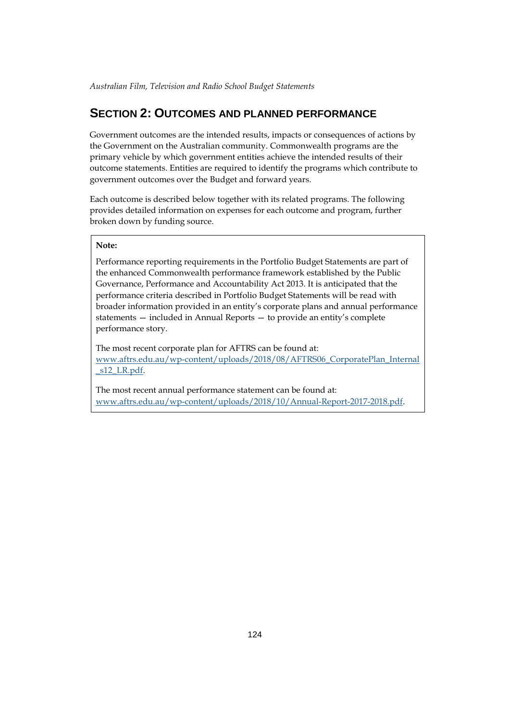# <span id="page-11-0"></span>**SECTION 2: OUTCOMES AND PLANNED PERFORMANCE**

Government outcomes are the intended results, impacts or consequences of actions by the Government on the Australian community. Commonwealth programs are the primary vehicle by which government entities achieve the intended results of their outcome statements. Entities are required to identify the programs which contribute to government outcomes over the Budget and forward years.

Each outcome is described below together with its related programs. The following provides detailed information on expenses for each outcome and program, further broken down by funding source.

#### **Note:**

Performance reporting requirements in the Portfolio Budget Statements are part of the enhanced Commonwealth performance framework established by the Public Governance, Performance and Accountability Act 2013. It is anticipated that the performance criteria described in Portfolio Budget Statements will be read with broader information provided in an entity's corporate plans and annual performance statements — included in Annual Reports — to provide an entity's complete performance story.

The most recent corporate plan for AFTRS can be found at: [www.aftrs.edu.au/wp-content/uploads/2018/08/AFTRS06\\_CorporatePlan\\_Internal](http://www.aftrs.edu.au/wpcontent/uploads/2018/08/AFTRS06_CorporatePlan_Internal_s12_LR.pdf) s12 LR.pdf.

The most recent annual performance statement can be found at: [www.aftrs.edu.au/wp-content/uploads/2018/10/Annual-Report-2017-2018.pdf.](http://www.aftrs.edu.au/wp-content/uploads/2018/10/Annual-Report-2017-2018.pdf)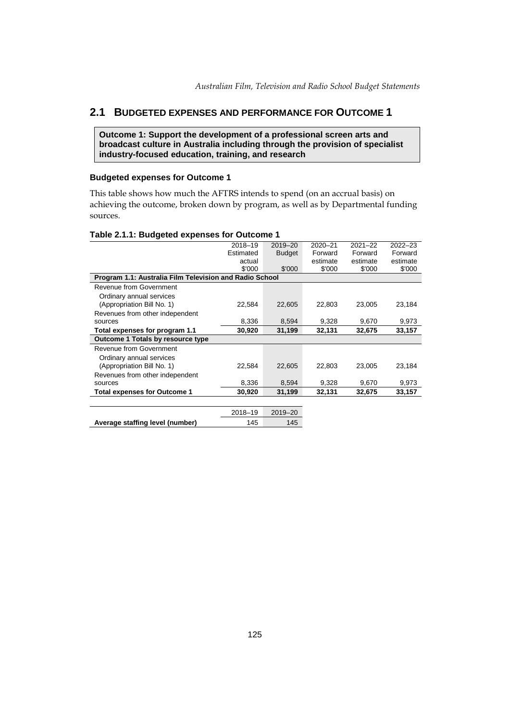# <span id="page-12-0"></span>**2.1 BUDGETED EXPENSES AND PERFORMANCE FOR OUTCOME 1**

**Outcome 1: Support the development of a professional screen arts and broadcast culture in Australia including through the provision of specialist industry-focused education, training, and research**

#### **Budgeted expenses for Outcome 1**

This table shows how much the AFTRS intends to spend (on an accrual basis) on achieving the outcome, broken down by program, as well as by Departmental funding sources.

|                                                         | 2018-19   | 2019-20       | 2020-21  | $2021 - 22$ | $2022 - 23$ |
|---------------------------------------------------------|-----------|---------------|----------|-------------|-------------|
|                                                         | Estimated | <b>Budget</b> | Forward  | Forward     | Forward     |
|                                                         | actual    |               | estimate | estimate    | estimate    |
|                                                         | \$'000    | \$'000        | \$'000   | \$'000      | \$'000      |
| Program 1.1: Australia Film Television and Radio School |           |               |          |             |             |
| Revenue from Government                                 |           |               |          |             |             |
| Ordinary annual services                                |           |               |          |             |             |
| (Appropriation Bill No. 1)                              | 22,584    | 22,605        | 22,803   | 23,005      | 23,184      |
| Revenues from other independent                         |           |               |          |             |             |
| sources                                                 | 8,336     | 8,594         | 9,328    | 9,670       | 9,973       |
| Total expenses for program 1.1                          | 30,920    | 31,199        | 32,131   | 32,675      | 33,157      |
| Outcome 1 Totals by resource type                       |           |               |          |             |             |
| Revenue from Government                                 |           |               |          |             |             |
| Ordinary annual services                                |           |               |          |             |             |
| (Appropriation Bill No. 1)                              | 22,584    | 22,605        | 22,803   | 23,005      | 23,184      |
| Revenues from other independent                         |           |               |          |             |             |
| sources                                                 | 8,336     | 8,594         | 9,328    | 9,670       | 9,973       |
| <b>Total expenses for Outcome 1</b>                     | 30,920    | 31,199        | 32,131   | 32,675      | 33,157      |
|                                                         |           |               |          |             |             |
|                                                         |           |               |          |             |             |

|                                 | 2018-19 | 2019–20 |
|---------------------------------|---------|---------|
| Average staffing level (number) | 145     | 145     |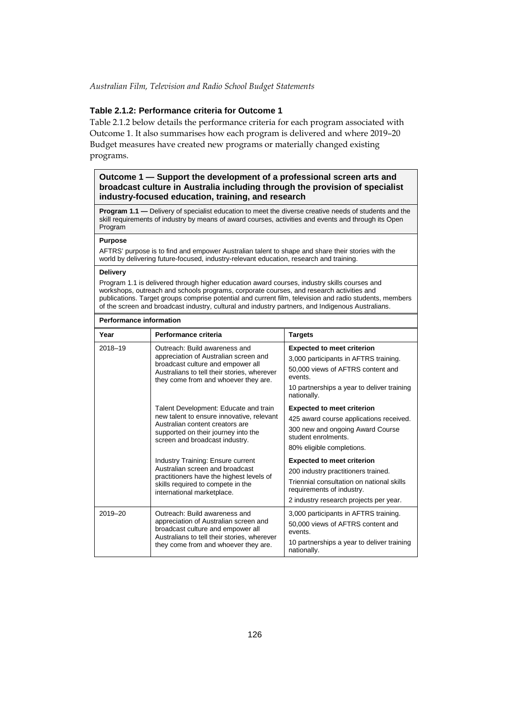#### **Table 2.1.2: Performance criteria for Outcome 1**

Table 2.1.2 below details the performance criteria for each program associated with Outcome 1. It also summarises how each program is delivered and where 2019–20 Budget measures have created new programs or materially changed existing programs.

#### **Outcome 1 — Support the development of a professional screen arts and broadcast culture in Australia including through the provision of specialist industry-focused education, training, and research**

**Program 1.1 —** Delivery of specialist education to meet the diverse creative needs of students and the skill requirements of industry by means of award courses, activities and events and through its Open Program

#### **Purpose**

AFTRS' purpose is to find and empower Australian talent to shape and share their stories with the world by delivering future-focused, industry-relevant education, research and training.

#### **Delivery**

Program 1.1 is delivered through higher education award courses, industry skills courses and workshops, outreach and schools programs, corporate courses, and research activities and publications. Target groups comprise potential and current film, television and radio students, members of the screen and broadcast industry, cultural and industry partners, and Indigenous Australians.

| <b>Performance information</b> |  |
|--------------------------------|--|
|--------------------------------|--|

| Year    | Performance criteria                                                                                                                                                                               | <b>Targets</b>                                                                                                                                                                               |
|---------|----------------------------------------------------------------------------------------------------------------------------------------------------------------------------------------------------|----------------------------------------------------------------------------------------------------------------------------------------------------------------------------------------------|
| 2018-19 | Outreach: Build awareness and<br>appreciation of Australian screen and<br>broadcast culture and empower all<br>Australians to tell their stories, wherever<br>they come from and whoever they are. | <b>Expected to meet criterion</b><br>3,000 participants in AFTRS training.<br>50,000 views of AFTRS content and<br>events.<br>10 partnerships a year to deliver training<br>nationally.      |
|         | Talent Development: Educate and train<br>new talent to ensure innovative, relevant<br>Australian content creators are<br>supported on their journey into the<br>screen and broadcast industry.     | <b>Expected to meet criterion</b><br>425 award course applications received.<br>300 new and ongoing Award Course<br>student enrolments.<br>80% eligible completions.                         |
|         | Industry Training: Ensure current<br>Australian screen and broadcast<br>practitioners have the highest levels of<br>skills required to compete in the<br>international marketplace.                | <b>Expected to meet criterion</b><br>200 industry practitioners trained.<br>Triennial consultation on national skills<br>requirements of industry.<br>2 industry research projects per year. |
| 2019-20 | Outreach: Build awareness and<br>appreciation of Australian screen and<br>broadcast culture and empower all<br>Australians to tell their stories, wherever<br>they come from and whoever they are. | 3,000 participants in AFTRS training.<br>50,000 views of AFTRS content and<br>events.<br>10 partnerships a year to deliver training<br>nationally.                                           |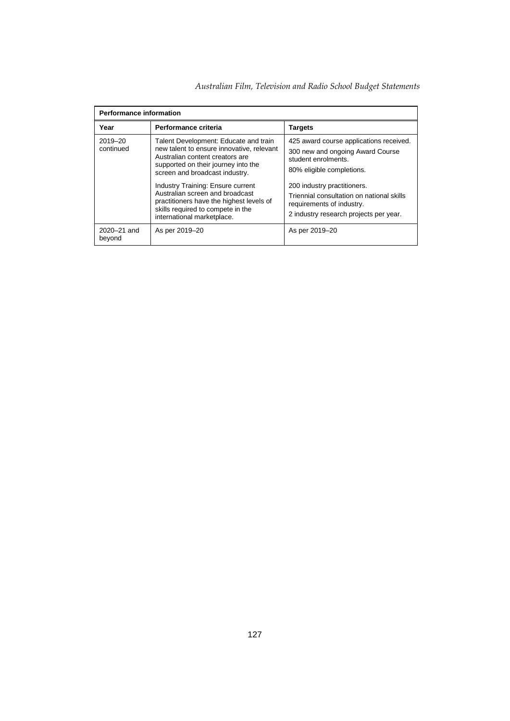| Australian Film, Television and Radio School Budget Statements |  |  |  |  |  |
|----------------------------------------------------------------|--|--|--|--|--|
|----------------------------------------------------------------|--|--|--|--|--|

| <b>Performance information</b> |                                                                                                                                                                                                |                                                                                                                                                 |  |  |  |  |
|--------------------------------|------------------------------------------------------------------------------------------------------------------------------------------------------------------------------------------------|-------------------------------------------------------------------------------------------------------------------------------------------------|--|--|--|--|
| Year<br>Performance criteria   |                                                                                                                                                                                                | <b>Targets</b>                                                                                                                                  |  |  |  |  |
| 2019-20<br>continued           | Talent Development: Educate and train<br>new talent to ensure innovative, relevant<br>Australian content creators are<br>supported on their journey into the<br>screen and broadcast industry. | 425 award course applications received.<br>300 new and ongoing Award Course<br>student enrolments.<br>80% eligible completions.                 |  |  |  |  |
|                                | Industry Training: Ensure current<br>Australian screen and broadcast<br>practitioners have the highest levels of<br>skills required to compete in the<br>international marketplace.            | 200 industry practitioners.<br>Triennial consultation on national skills<br>requirements of industry.<br>2 industry research projects per year. |  |  |  |  |
| 2020-21 and<br>beyond          | As per 2019–20                                                                                                                                                                                 | As per 2019–20                                                                                                                                  |  |  |  |  |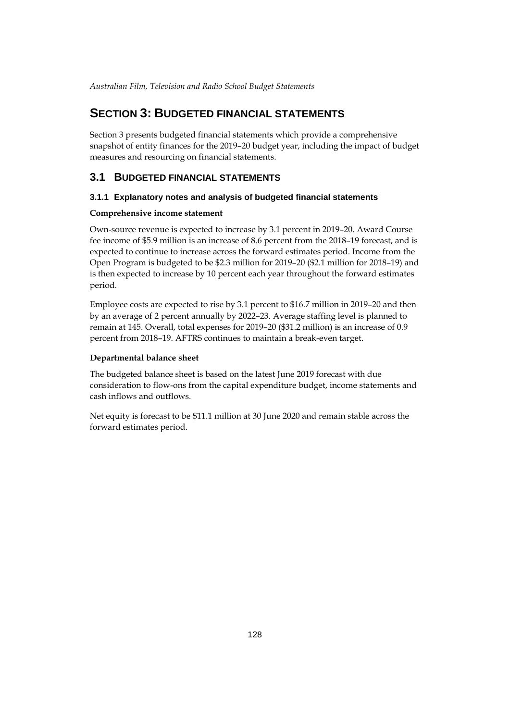# <span id="page-15-0"></span>**SECTION 3: BUDGETED FINANCIAL STATEMENTS**

Section 3 presents budgeted financial statements which provide a comprehensive snapshot of entity finances for the 2019–20 budget year, including the impact of budget measures and resourcing on financial statements.

### <span id="page-15-1"></span>**3.1 BUDGETED FINANCIAL STATEMENTS**

#### **3.1.1 Explanatory notes and analysis of budgeted financial statements**

#### **Comprehensive income statement**

Own-source revenue is expected to increase by 3.1 percent in 2019–20. Award Course fee income of \$5.9 million is an increase of 8.6 percent from the 2018–19 forecast, and is expected to continue to increase across the forward estimates period. Income from the Open Program is budgeted to be \$2.3 million for 2019–20 (\$2.1 million for 2018–19) and is then expected to increase by 10 percent each year throughout the forward estimates period.

Employee costs are expected to rise by 3.1 percent to \$16.7 million in 2019–20 and then by an average of 2 percent annually by 2022–23. Average staffing level is planned to remain at 145. Overall, total expenses for 2019–20 (\$31.2 million) is an increase of 0.9 percent from 2018–19. AFTRS continues to maintain a break-even target.

#### **Departmental balance sheet**

The budgeted balance sheet is based on the latest June 2019 forecast with due consideration to flow-ons from the capital expenditure budget, income statements and cash inflows and outflows.

Net equity is forecast to be \$11.1 million at 30 June 2020 and remain stable across the forward estimates period.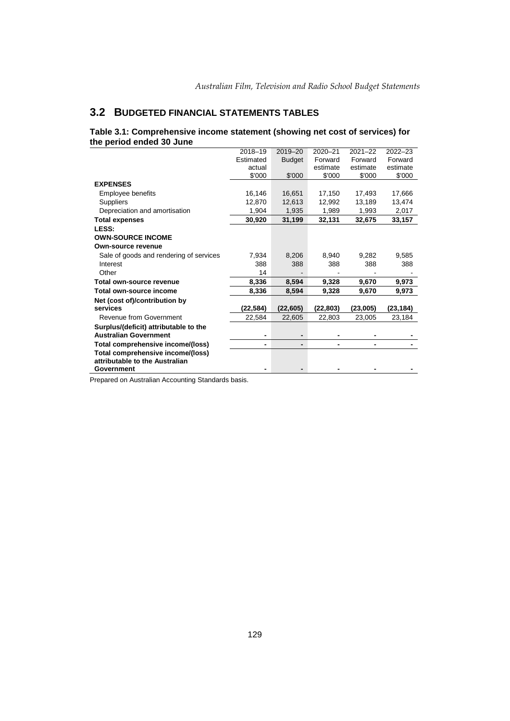# <span id="page-16-0"></span>**3.2 BUDGETED FINANCIAL STATEMENTS TABLES**

#### **Table 3.1: Comprehensive income statement (showing net cost of services) for the period ended 30 June**

|                                                                       | 2018-19   | $2019 - 20$   | $2020 - 21$ | $2021 - 22$ | $2022 - 23$ |
|-----------------------------------------------------------------------|-----------|---------------|-------------|-------------|-------------|
|                                                                       | Estimated | <b>Budget</b> | Forward     | Forward     | Forward     |
|                                                                       | actual    |               | estimate    | estimate    | estimate    |
|                                                                       | \$'000    | \$'000        | \$'000      | \$'000      | \$'000      |
| <b>EXPENSES</b>                                                       |           |               |             |             |             |
| Employee benefits                                                     | 16,146    | 16,651        | 17,150      | 17,493      | 17,666      |
| <b>Suppliers</b>                                                      | 12,870    | 12,613        | 12,992      | 13,189      | 13,474      |
| Depreciation and amortisation                                         | 1,904     | 1,935         | 1,989       | 1,993       | 2,017       |
| <b>Total expenses</b>                                                 | 30,920    | 31,199        | 32,131      | 32,675      | 33,157      |
| LESS:                                                                 |           |               |             |             |             |
| <b>OWN-SOURCE INCOME</b>                                              |           |               |             |             |             |
| Own-source revenue                                                    |           |               |             |             |             |
| Sale of goods and rendering of services                               | 7,934     | 8,206         | 8,940       | 9,282       | 9,585       |
| Interest                                                              | 388       | 388           | 388         | 388         | 388         |
| Other                                                                 | 14        |               |             |             |             |
| Total own-source revenue                                              | 8,336     | 8,594         | 9,328       | 9,670       | 9,973       |
| Total own-source income                                               | 8,336     | 8,594         | 9,328       | 9,670       | 9.973       |
| Net (cost of)/contribution by                                         |           |               |             |             |             |
| services                                                              | (22,584)  | (22,605)      | (22,803)    | (23,005)    | (23,184)    |
| Revenue from Government                                               | 22,584    | 22,605        | 22,803      | 23,005      | 23,184      |
| Surplus/(deficit) attributable to the<br><b>Australian Government</b> |           |               |             |             |             |
| Total comprehensive income/(loss)                                     | ۰         |               |             |             |             |
| Total comprehensive income/(loss)                                     |           |               |             |             |             |
| attributable to the Australian                                        |           |               |             |             |             |
| Government                                                            |           |               |             |             |             |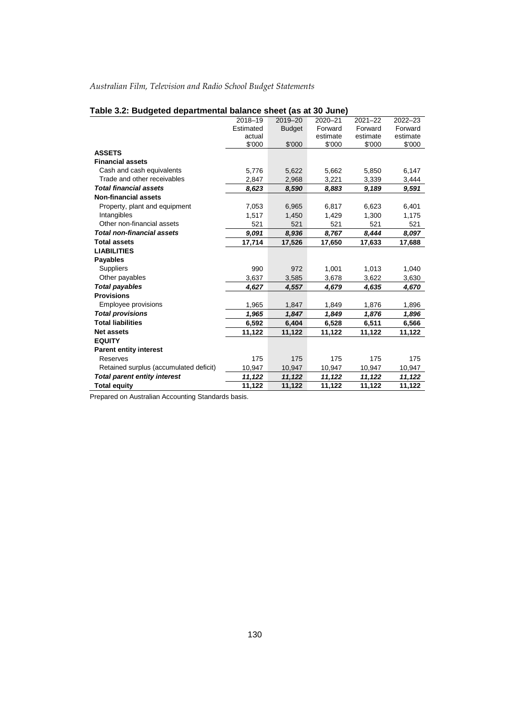|                                        | 2018-19   | 2019-20       | 2020-21  | $2021 - 22$ | $2022 - 23$ |
|----------------------------------------|-----------|---------------|----------|-------------|-------------|
|                                        | Estimated | <b>Budget</b> | Forward  | Forward     | Forward     |
|                                        | actual    |               | estimate | estimate    | estimate    |
|                                        | \$'000    | \$'000        | \$'000   | \$'000      | \$'000      |
| <b>ASSETS</b>                          |           |               |          |             |             |
| <b>Financial assets</b>                |           |               |          |             |             |
| Cash and cash equivalents              | 5,776     | 5,622         | 5,662    | 5,850       | 6,147       |
| Trade and other receivables            | 2,847     | 2,968         | 3,221    | 3,339       | 3,444       |
| <b>Total financial assets</b>          | 8,623     | 8,590         | 8,883    | 9,189       | 9,591       |
| <b>Non-financial assets</b>            |           |               |          |             |             |
| Property, plant and equipment          | 7,053     | 6,965         | 6,817    | 6,623       | 6,401       |
| Intangibles                            | 1,517     | 1,450         | 1,429    | 1,300       | 1,175       |
| Other non-financial assets             | 521       | 521           | 521      | 521         | 521         |
| <b>Total non-financial assets</b>      | 9,091     | 8,936         | 8,767    | 8,444       | 8,097       |
| <b>Total assets</b>                    | 17,714    | 17,526        | 17,650   | 17,633      | 17,688      |
| <b>LIABILITIES</b>                     |           |               |          |             |             |
| <b>Payables</b>                        |           |               |          |             |             |
| <b>Suppliers</b>                       | 990       | 972           | 1,001    | 1,013       | 1,040       |
| Other payables                         | 3,637     | 3,585         | 3,678    | 3,622       | 3,630       |
| <b>Total payables</b>                  | 4,627     | 4,557         | 4,679    | 4,635       | 4,670       |
| <b>Provisions</b>                      |           |               |          |             |             |
| Employee provisions                    | 1,965     | 1,847         | 1,849    | 1,876       | 1,896       |
| <b>Total provisions</b>                | 1,965     | 1,847         | 1,849    | 1,876       | 1,896       |
| <b>Total liabilities</b>               | 6,592     | 6,404         | 6,528    | 6,511       | 6,566       |
| <b>Net assets</b>                      | 11,122    | 11,122        | 11,122   | 11,122      | 11,122      |
| <b>EQUITY</b>                          |           |               |          |             |             |
| <b>Parent entity interest</b>          |           |               |          |             |             |
| Reserves                               | 175       | 175           | 175      | 175         | 175         |
| Retained surplus (accumulated deficit) | 10,947    | 10,947        | 10,947   | 10,947      | 10,947      |
| <b>Total parent entity interest</b>    | 11,122    | 11,122        | 11,122   | 11,122      | 11,122      |
| <b>Total equity</b>                    | 11,122    | 11,122        | 11,122   | 11,122      | 11,122      |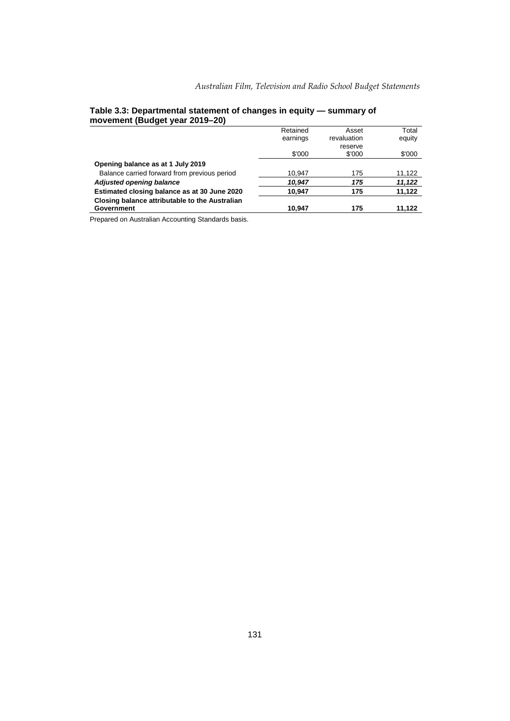| --                                             |          |             |        |
|------------------------------------------------|----------|-------------|--------|
|                                                | Retained | Asset       | Total  |
|                                                | earnings | revaluation | equity |
|                                                |          | reserve     |        |
|                                                | \$'000   | \$'000      | \$'000 |
| Opening balance as at 1 July 2019              |          |             |        |
| Balance carried forward from previous period   | 10,947   | 175         | 11,122 |
| Adjusted opening balance                       | 10,947   | 175         | 11,122 |
| Estimated closing balance as at 30 June 2020   | 10,947   | 175         | 11,122 |
| Closing balance attributable to the Australian |          |             |        |
| <b>Government</b>                              | 10.947   | 175         | 11,122 |
|                                                |          |             |        |

#### **Table 3.3: Departmental statement of changes in equity — summary of movement (Budget year 2019–20)**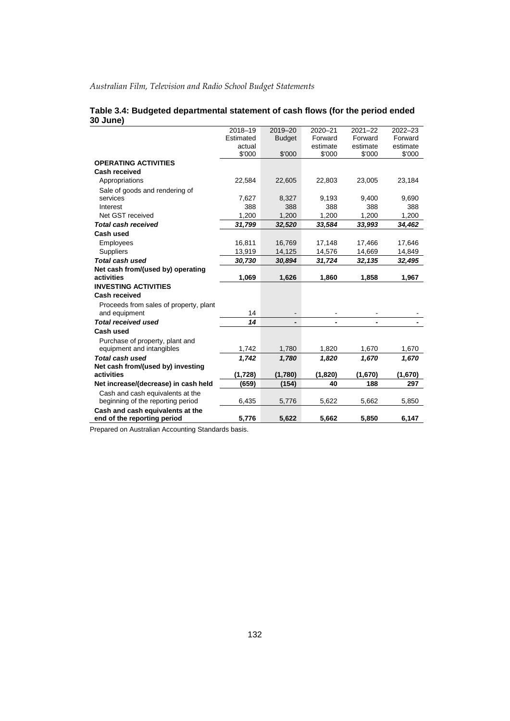|                                        | 2018-19   | $2019 - 20$   | $2020 - 21$ | $2021 - 22$ | $2022 - 23$ |
|----------------------------------------|-----------|---------------|-------------|-------------|-------------|
|                                        | Estimated | <b>Budget</b> | Forward     | Forward     | Forward     |
|                                        | actual    |               | estimate    | estimate    | estimate    |
|                                        | \$'000    | \$'000        | \$'000      | \$'000      | \$'000      |
| <b>OPERATING ACTIVITIES</b>            |           |               |             |             |             |
| <b>Cash received</b>                   |           |               |             |             |             |
| Appropriations                         | 22,584    | 22,605        | 22,803      | 23,005      | 23,184      |
| Sale of goods and rendering of         |           |               |             |             |             |
| services                               | 7,627     | 8,327         | 9,193       | 9,400       | 9,690       |
| Interest                               | 388       | 388           | 388         | 388         | 388         |
| Net GST received                       | 1,200     | 1,200         | 1,200       | 1,200       | 1,200       |
| <b>Total cash received</b>             | 31,799    | 32,520        | 33,584      | 33,993      | 34,462      |
| Cash used                              |           |               |             |             |             |
| Employees                              | 16,811    | 16,769        | 17,148      | 17,466      | 17,646      |
| Suppliers                              | 13,919    | 14,125        | 14,576      | 14,669      | 14,849      |
| Total cash used                        | 30,730    | 30,894        | 31,724      | 32,135      | 32,495      |
| Net cash from/(used by) operating      |           |               |             |             |             |
| activities                             | 1,069     | 1,626         | 1,860       | 1,858       | 1,967       |
| <b>INVESTING ACTIVITIES</b>            |           |               |             |             |             |
| Cash received                          |           |               |             |             |             |
| Proceeds from sales of property, plant |           |               |             |             |             |
| and equipment                          | 14        |               |             |             |             |
| <b>Total received used</b>             | 14        |               |             |             |             |
| Cash used                              |           |               |             |             |             |
| Purchase of property, plant and        |           |               |             |             |             |
| equipment and intangibles              | 1,742     | 1,780         | 1,820       | 1,670       | 1,670       |
| Total cash used                        | 1,742     | 1,780         | 1,820       | 1,670       | 1,670       |
| Net cash from/(used by) investing      |           |               |             |             |             |
| activities                             | (1,728)   | (1,780)       | (1,820)     | (1,670)     | (1,670)     |
| Net increase/(decrease) in cash held   | (659)     | (154)         | 40          | 188         | 297         |
| Cash and cash equivalents at the       |           |               |             |             |             |
| beginning of the reporting period      | 6,435     | 5,776         | 5,622       | 5,662       | 5,850       |
| Cash and cash equivalents at the       |           |               |             |             |             |
| end of the reporting period            | 5,776     | 5,622         | 5,662       | 5,850       | 6,147       |

#### **Table 3.4: Budgeted departmental statement of cash flows (for the period ended 30 June)**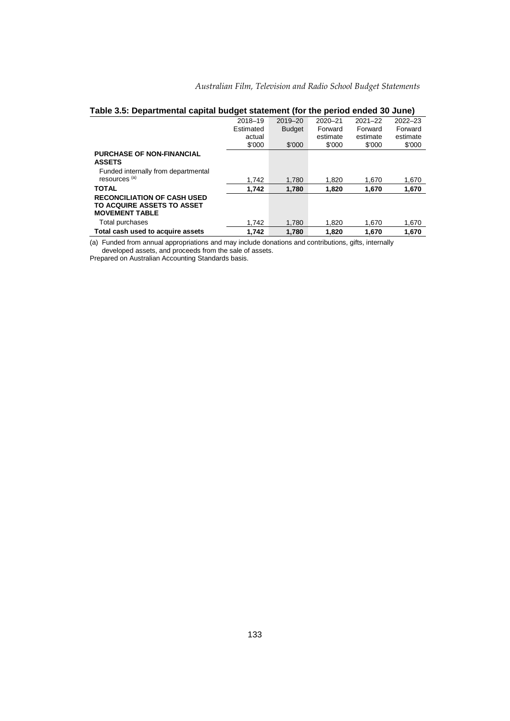|  |  |  | Australian Film, Television and Radio School Budget Statements |
|--|--|--|----------------------------------------------------------------|
|  |  |  |                                                                |

|                                     | 2018-19   | 2019-20       | 2020-21  | $2021 - 22$ | $2022 - 23$ |
|-------------------------------------|-----------|---------------|----------|-------------|-------------|
|                                     | Estimated | <b>Budget</b> | Forward  | Forward     | Forward     |
|                                     | actual    |               | estimate | estimate    | estimate    |
|                                     | \$'000    | \$'000        | \$'000   | \$'000      | \$'000      |
| <b>PURCHASE OF NON-FINANCIAL</b>    |           |               |          |             |             |
| <b>ASSETS</b>                       |           |               |          |             |             |
| Funded internally from departmental |           |               |          |             |             |
| resources <sup>(a)</sup>            | 1.742     | 1.780         | 1.820    | 1.670       | 1,670       |
| <b>TOTAL</b>                        | 1,742     | 1.780         | 1.820    | 1,670       | 1,670       |
| <b>RECONCILIATION OF CASH USED</b>  |           |               |          |             |             |
| TO ACQUIRE ASSETS TO ASSET          |           |               |          |             |             |
| <b>MOVEMENT TABLE</b>               |           |               |          |             |             |
| Total purchases                     | 1.742     | 1.780         | 1.820    | 1.670       | 1,670       |
| Total cash used to acquire assets   | 1.742     | 1.780         | 1.820    | 1.670       | 1.670       |

# **Table 3.5: Departmental capital budget statement (for the period ended 30 June)**

(a) Funded from annual appropriations and may include donations and contributions, gifts, internally

developed assets, and proceeds from the sale of assets. Prepared on Australian Accounting Standards basis.